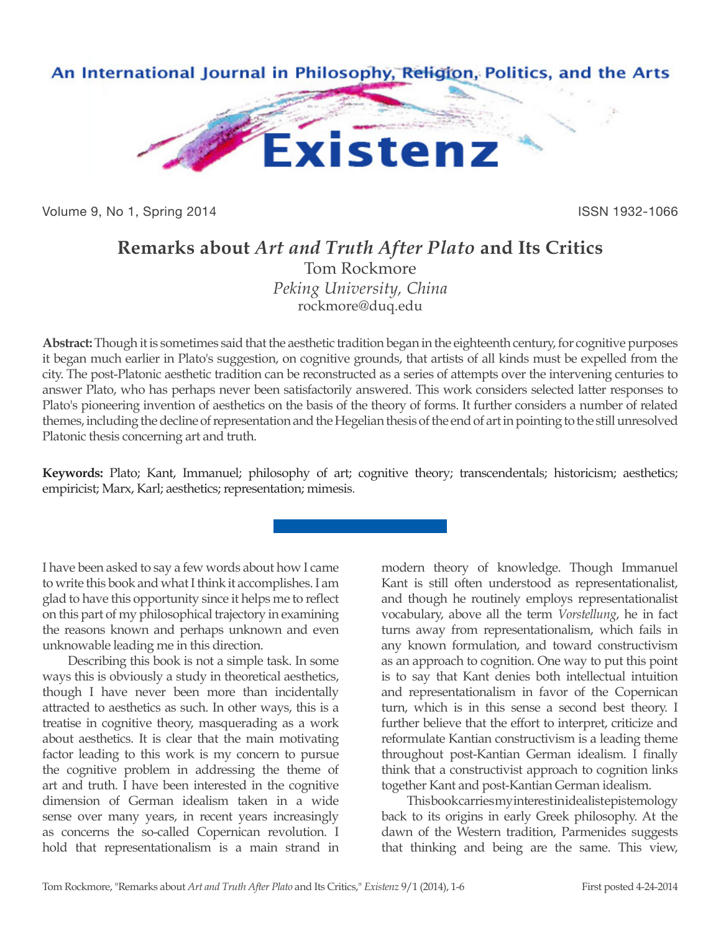

Volume 9, No 1, Spring 2014 **ISSN 1932-1066** ISSN 1932-1066

## **Remarks about** *Art and Truth After Plato* **and Its Critics** Tom Rockmore *Peking University, China*

rockmore@duq.edu

**Abstract:** Though it is sometimes said that the aesthetic tradition began in the eighteenth century, for cognitive purposes it began much earlier in Plato's suggestion, on cognitive grounds, that artists of all kinds must be expelled from the city. The post-Platonic aesthetic tradition can be reconstructed as a series of attempts over the intervening centuries to answer Plato, who has perhaps never been satisfactorily answered. This work considers selected latter responses to Plato's pioneering invention of aesthetics on the basis of the theory of forms. It further considers a number of related themes, including the decline of representation and the Hegelian thesis of the end of art in pointing to the still unresolved Platonic thesis concerning art and truth.

**Keywords:** Plato; Kant, Immanuel; philosophy of art; cognitive theory; transcendentals; historicism; aesthetics; empiricist; Marx, Karl; aesthetics; representation; mimesis.

I have been asked to say a few words about how I came to write this book and what I think it accomplishes. I am glad to have this opportunity since it helps me to reflect on this part of my philosophical trajectory in examining the reasons known and perhaps unknown and even unknowable leading me in this direction.

Describing this book is not a simple task. In some ways this is obviously a study in theoretical aesthetics, though I have never been more than incidentally attracted to aesthetics as such. In other ways, this is a treatise in cognitive theory, masquerading as a work about aesthetics. It is clear that the main motivating factor leading to this work is my concern to pursue the cognitive problem in addressing the theme of art and truth. I have been interested in the cognitive dimension of German idealism taken in a wide sense over many years, in recent years increasingly as concerns the so-called Copernican revolution. I hold that representationalism is a main strand in

modern theory of knowledge. Though Immanuel Kant is still often understood as representationalist, and though he routinely employs representationalist vocabulary, above all the term *Vorstellung*, he in fact turns away from representationalism, which fails in any known formulation, and toward constructivism as an approach to cognition. One way to put this point is to say that Kant denies both intellectual intuition and representationalism in favor of the Copernican turn, which is in this sense a second best theory. I further believe that the effort to interpret, criticize and reformulate Kantian constructivism is a leading theme throughout post-Kantian German idealism. I finally think that a constructivist approach to cognition links together Kant and post-Kantian German idealism.

This book carries my interest in idealist epistemology back to its origins in early Greek philosophy. At the dawn of the Western tradition, Parmenides suggests that thinking and being are the same. This view,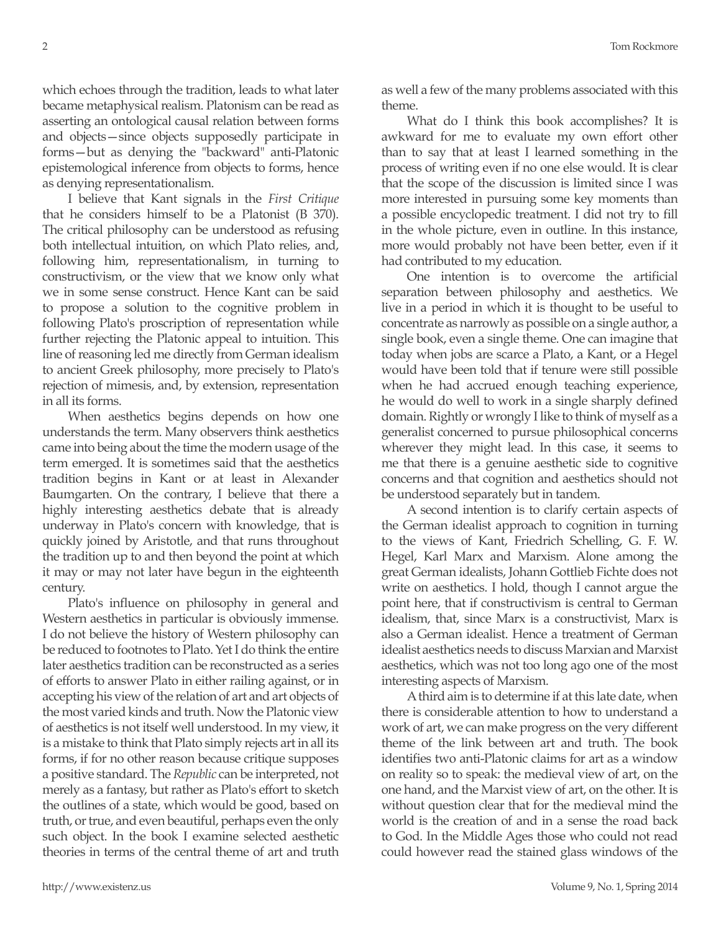which echoes through the tradition, leads to what later became metaphysical realism. Platonism can be read as asserting an ontological causal relation between forms and objects—since objects supposedly participate in forms—but as denying the "backward" anti-Platonic epistemological inference from objects to forms, hence as denying representationalism.

I believe that Kant signals in the *First Critique* that he considers himself to be a Platonist (B 370). The critical philosophy can be understood as refusing both intellectual intuition, on which Plato relies, and, following him, representationalism, in turning to constructivism, or the view that we know only what we in some sense construct. Hence Kant can be said to propose a solution to the cognitive problem in following Plato's proscription of representation while further rejecting the Platonic appeal to intuition. This line of reasoning led me directly from German idealism to ancient Greek philosophy, more precisely to Plato's rejection of mimesis, and, by extension, representation in all its forms.

When aesthetics begins depends on how one understands the term. Many observers think aesthetics came into being about the time the modern usage of the term emerged. It is sometimes said that the aesthetics tradition begins in Kant or at least in Alexander Baumgarten. On the contrary, I believe that there a highly interesting aesthetics debate that is already underway in Plato's concern with knowledge, that is quickly joined by Aristotle, and that runs throughout the tradition up to and then beyond the point at which it may or may not later have begun in the eighteenth century.

Plato's influence on philosophy in general and Western aesthetics in particular is obviously immense. I do not believe the history of Western philosophy can be reduced to footnotes to Plato. Yet I do think the entire later aesthetics tradition can be reconstructed as a series of efforts to answer Plato in either railing against, or in accepting his view of the relation of art and art objects of the most varied kinds and truth. Now the Platonic view of aesthetics is not itself well understood. In my view, it is a mistake to think that Plato simply rejects art in all its forms, if for no other reason because critique supposes a positive standard. The *Republic* can be interpreted, not merely as a fantasy, but rather as Plato's effort to sketch the outlines of a state, which would be good, based on truth, or true, and even beautiful, perhaps even the only such object. In the book I examine selected aesthetic theories in terms of the central theme of art and truth

as well a few of the many problems associated with this theme.

What do I think this book accomplishes? It is awkward for me to evaluate my own effort other than to say that at least I learned something in the process of writing even if no one else would. It is clear that the scope of the discussion is limited since I was more interested in pursuing some key moments than a possible encyclopedic treatment. I did not try to fill in the whole picture, even in outline. In this instance, more would probably not have been better, even if it had contributed to my education.

One intention is to overcome the artificial separation between philosophy and aesthetics. We live in a period in which it is thought to be useful to concentrate as narrowly as possible on a single author, a single book, even a single theme. One can imagine that today when jobs are scarce a Plato, a Kant, or a Hegel would have been told that if tenure were still possible when he had accrued enough teaching experience, he would do well to work in a single sharply defined domain. Rightly or wrongly I like to think of myself as a generalist concerned to pursue philosophical concerns wherever they might lead. In this case, it seems to me that there is a genuine aesthetic side to cognitive concerns and that cognition and aesthetics should not be understood separately but in tandem.

A second intention is to clarify certain aspects of the German idealist approach to cognition in turning to the views of Kant, Friedrich Schelling, G. F. W. Hegel, Karl Marx and Marxism. Alone among the great German idealists, Johann Gottlieb Fichte does not write on aesthetics. I hold, though I cannot argue the point here, that if constructivism is central to German idealism, that, since Marx is a constructivist, Marx is also a German idealist. Hence a treatment of German idealist aesthetics needs to discuss Marxian and Marxist aesthetics, which was not too long ago one of the most interesting aspects of Marxism.

A third aim is to determine if at this late date, when there is considerable attention to how to understand a work of art, we can make progress on the very different theme of the link between art and truth. The book identifies two anti-Platonic claims for art as a window on reality so to speak: the medieval view of art, on the one hand, and the Marxist view of art, on the other. It is without question clear that for the medieval mind the world is the creation of and in a sense the road back to God. In the Middle Ages those who could not read could however read the stained glass windows of the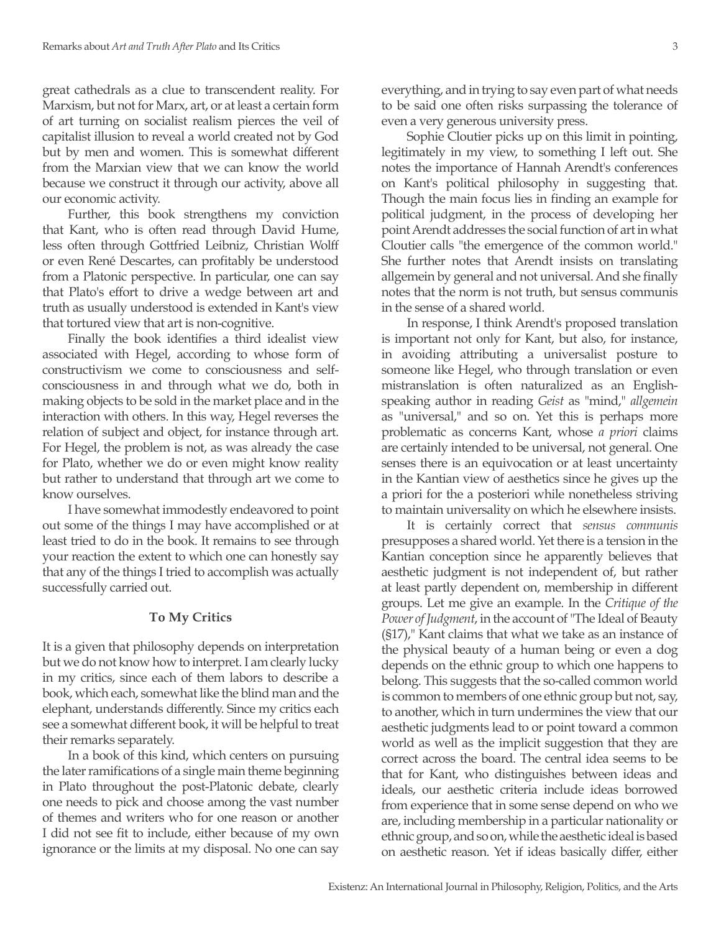great cathedrals as a clue to transcendent reality. For Marxism, but not for Marx, art, or at least a certain form of art turning on socialist realism pierces the veil of capitalist illusion to reveal a world created not by God but by men and women. This is somewhat different from the Marxian view that we can know the world because we construct it through our activity, above all our economic activity.

Further, this book strengthens my conviction that Kant, who is often read through David Hume, less often through Gottfried Leibniz, Christian Wolff or even René Descartes, can profitably be understood from a Platonic perspective. In particular, one can say that Plato's effort to drive a wedge between art and truth as usually understood is extended in Kant's view that tortured view that art is non-cognitive.

Finally the book identifies a third idealist view associated with Hegel, according to whose form of constructivism we come to consciousness and selfconsciousness in and through what we do, both in making objects to be sold in the market place and in the interaction with others. In this way, Hegel reverses the relation of subject and object, for instance through art. For Hegel, the problem is not, as was already the case for Plato, whether we do or even might know reality but rather to understand that through art we come to know ourselves.

I have somewhat immodestly endeavored to point out some of the things I may have accomplished or at least tried to do in the book. It remains to see through your reaction the extent to which one can honestly say that any of the things I tried to accomplish was actually successfully carried out.

## **To My Critics**

It is a given that philosophy depends on interpretation but we do not know how to interpret. I am clearly lucky in my critics, since each of them labors to describe a book, which each, somewhat like the blind man and the elephant, understands differently. Since my critics each see a somewhat different book, it will be helpful to treat their remarks separately.

In a book of this kind, which centers on pursuing the later ramifications of a single main theme beginning in Plato throughout the post-Platonic debate, clearly one needs to pick and choose among the vast number of themes and writers who for one reason or another I did not see fit to include, either because of my own ignorance or the limits at my disposal. No one can say everything, and in trying to say even part of what needs to be said one often risks surpassing the tolerance of even a very generous university press.

Sophie Cloutier picks up on this limit in pointing, legitimately in my view, to something I left out. She notes the importance of Hannah Arendt's conferences on Kant's political philosophy in suggesting that. Though the main focus lies in finding an example for political judgment, in the process of developing her point Arendt addresses the social function of art in what Cloutier calls "the emergence of the common world." She further notes that Arendt insists on translating allgemein by general and not universal. And she finally notes that the norm is not truth, but sensus communis in the sense of a shared world.

In response, I think Arendt's proposed translation is important not only for Kant, but also, for instance, in avoiding attributing a universalist posture to someone like Hegel, who through translation or even mistranslation is often naturalized as an Englishspeaking author in reading *Geist* as "mind," *allgemein* as "universal," and so on. Yet this is perhaps more problematic as concerns Kant, whose *a priori* claims are certainly intended to be universal, not general. One senses there is an equivocation or at least uncertainty in the Kantian view of aesthetics since he gives up the a priori for the a posteriori while nonetheless striving to maintain universality on which he elsewhere insists.

It is certainly correct that *sensus communis*  presupposes a shared world. Yet there is a tension in the Kantian conception since he apparently believes that aesthetic judgment is not independent of, but rather at least partly dependent on, membership in different groups. Let me give an example. In the *Critique of the Power of Judgment*, in the account of "The Ideal of Beauty (§17)," Kant claims that what we take as an instance of the physical beauty of a human being or even a dog depends on the ethnic group to which one happens to belong. This suggests that the so-called common world is common to members of one ethnic group but not, say, to another, which in turn undermines the view that our aesthetic judgments lead to or point toward a common world as well as the implicit suggestion that they are correct across the board. The central idea seems to be that for Kant, who distinguishes between ideas and ideals, our aesthetic criteria include ideas borrowed from experience that in some sense depend on who we are, including membership in a particular nationality or ethnic group, and so on, while the aesthetic ideal is based on aesthetic reason. Yet if ideas basically differ, either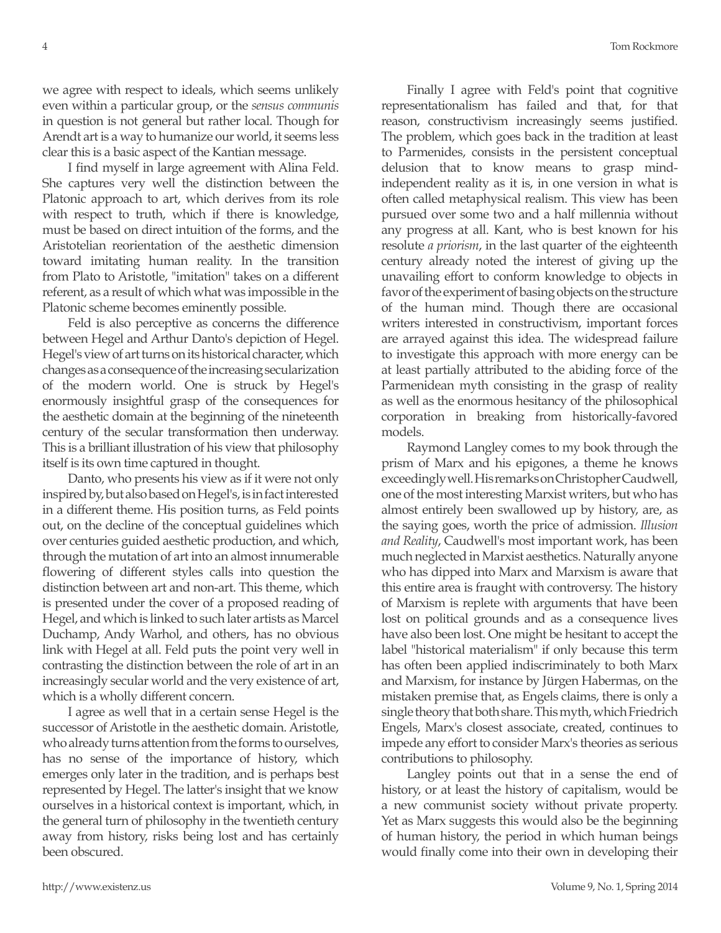we agree with respect to ideals, which seems unlikely even within a particular group, or the *sensus communis* in question is not general but rather local. Though for Arendt art is a way to humanize our world, it seems less clear this is a basic aspect of the Kantian message.

I find myself in large agreement with Alina Feld. She captures very well the distinction between the Platonic approach to art, which derives from its role with respect to truth, which if there is knowledge, must be based on direct intuition of the forms, and the Aristotelian reorientation of the aesthetic dimension toward imitating human reality. In the transition from Plato to Aristotle, "imitation" takes on a different referent, as a result of which what was impossible in the Platonic scheme becomes eminently possible.

Feld is also perceptive as concerns the difference between Hegel and Arthur Danto's depiction of Hegel. Hegel's view of art turns on its historical character, which changes as a consequence of the increasing secularization of the modern world. One is struck by Hegel's enormously insightful grasp of the consequences for the aesthetic domain at the beginning of the nineteenth century of the secular transformation then underway. This is a brilliant illustration of his view that philosophy itself is its own time captured in thought.

Danto, who presents his view as if it were not only inspired by, but also based on Hegel's, is in fact interested in a different theme. His position turns, as Feld points out, on the decline of the conceptual guidelines which over centuries guided aesthetic production, and which, through the mutation of art into an almost innumerable flowering of different styles calls into question the distinction between art and non-art. This theme, which is presented under the cover of a proposed reading of Hegel, and which is linked to such later artists as Marcel Duchamp, Andy Warhol, and others, has no obvious link with Hegel at all. Feld puts the point very well in contrasting the distinction between the role of art in an increasingly secular world and the very existence of art, which is a wholly different concern.

I agree as well that in a certain sense Hegel is the successor of Aristotle in the aesthetic domain. Aristotle, who already turns attention from the forms to ourselves, has no sense of the importance of history, which emerges only later in the tradition, and is perhaps best represented by Hegel. The latter's insight that we know ourselves in a historical context is important, which, in the general turn of philosophy in the twentieth century away from history, risks being lost and has certainly been obscured.

Finally I agree with Feld's point that cognitive representationalism has failed and that, for that reason, constructivism increasingly seems justified. The problem, which goes back in the tradition at least to Parmenides, consists in the persistent conceptual delusion that to know means to grasp mindindependent reality as it is, in one version in what is often called metaphysical realism. This view has been pursued over some two and a half millennia without any progress at all. Kant, who is best known for his resolute *a priorism*, in the last quarter of the eighteenth century already noted the interest of giving up the unavailing effort to conform knowledge to objects in favor of the experiment of basing objects on the structure of the human mind. Though there are occasional writers interested in constructivism, important forces are arrayed against this idea. The widespread failure to investigate this approach with more energy can be at least partially attributed to the abiding force of the Parmenidean myth consisting in the grasp of reality as well as the enormous hesitancy of the philosophical corporation in breaking from historically-favored models.

Raymond Langley comes to my book through the prism of Marx and his epigones, a theme he knows exceedingly well. His remarks on Christopher Caudwell, one of the most interesting Marxist writers, but who has almost entirely been swallowed up by history, are, as the saying goes, worth the price of admission. *Illusion and Reality*, Caudwell's most important work, has been much neglected in Marxist aesthetics. Naturally anyone who has dipped into Marx and Marxism is aware that this entire area is fraught with controversy. The history of Marxism is replete with arguments that have been lost on political grounds and as a consequence lives have also been lost. One might be hesitant to accept the label "historical materialism" if only because this term has often been applied indiscriminately to both Marx and Marxism, for instance by Jürgen Habermas, on the mistaken premise that, as Engels claims, there is only a single theory that both share. This myth, which Friedrich Engels, Marx's closest associate, created, continues to impede any effort to consider Marx's theories as serious contributions to philosophy.

Langley points out that in a sense the end of history, or at least the history of capitalism, would be a new communist society without private property. Yet as Marx suggests this would also be the beginning of human history, the period in which human beings would finally come into their own in developing their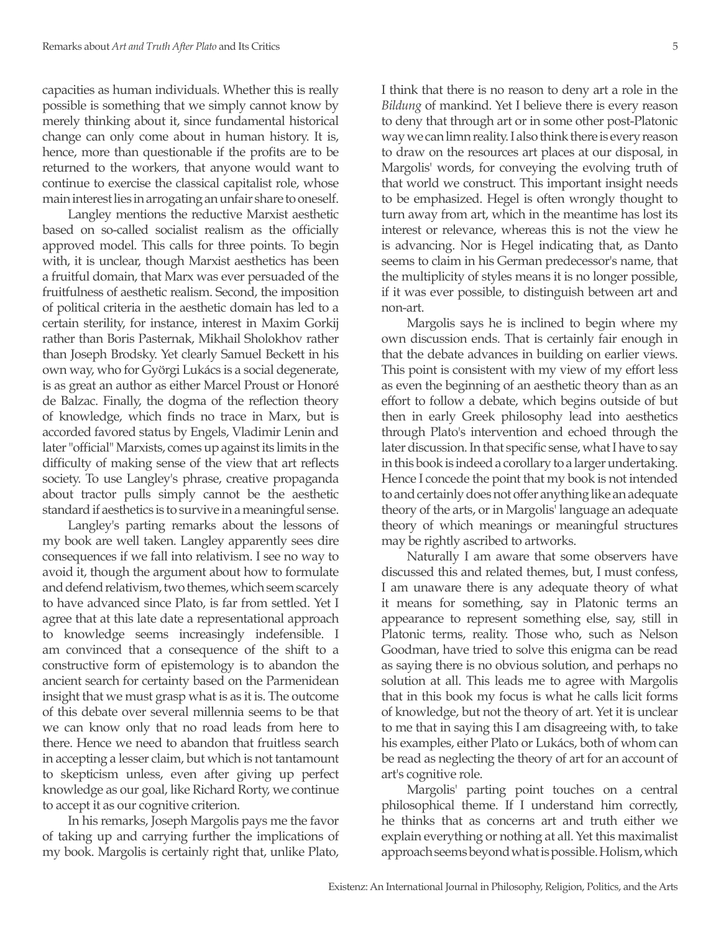capacities as human individuals. Whether this is really possible is something that we simply cannot know by merely thinking about it, since fundamental historical change can only come about in human history. It is, hence, more than questionable if the profits are to be returned to the workers, that anyone would want to continue to exercise the classical capitalist role, whose main interest lies in arrogating an unfair share to oneself.

Langley mentions the reductive Marxist aesthetic based on so-called socialist realism as the officially approved model. This calls for three points. To begin with, it is unclear, though Marxist aesthetics has been a fruitful domain, that Marx was ever persuaded of the fruitfulness of aesthetic realism. Second, the imposition of political criteria in the aesthetic domain has led to a certain sterility, for instance, interest in Maxim Gorkij rather than Boris Pasternak, Mikhail Sholokhov rather than Joseph Brodsky. Yet clearly Samuel Beckett in his own way, who for Györgi Lukács is a social degenerate, is as great an author as either Marcel Proust or Honoré de Balzac. Finally, the dogma of the reflection theory of knowledge, which finds no trace in Marx, but is accorded favored status by Engels, Vladimir Lenin and later "official" Marxists, comes up against its limits in the difficulty of making sense of the view that art reflects society. To use Langley's phrase, creative propaganda about tractor pulls simply cannot be the aesthetic standard if aesthetics is to survive in a meaningful sense.

Langley's parting remarks about the lessons of my book are well taken. Langley apparently sees dire consequences if we fall into relativism. I see no way to avoid it, though the argument about how to formulate and defend relativism, two themes, which seem scarcely to have advanced since Plato, is far from settled. Yet I agree that at this late date a representational approach to knowledge seems increasingly indefensible. I am convinced that a consequence of the shift to a constructive form of epistemology is to abandon the ancient search for certainty based on the Parmenidean insight that we must grasp what is as it is. The outcome of this debate over several millennia seems to be that we can know only that no road leads from here to there. Hence we need to abandon that fruitless search in accepting a lesser claim, but which is not tantamount to skepticism unless, even after giving up perfect knowledge as our goal, like Richard Rorty, we continue to accept it as our cognitive criterion.

In his remarks, Joseph Margolis pays me the favor of taking up and carrying further the implications of my book. Margolis is certainly right that, unlike Plato,

I think that there is no reason to deny art a role in the *Bildung* of mankind. Yet I believe there is every reason to deny that through art or in some other post-Platonic way we can limn reality. I also think there is every reason to draw on the resources art places at our disposal, in Margolis' words, for conveying the evolving truth of that world we construct. This important insight needs to be emphasized. Hegel is often wrongly thought to turn away from art, which in the meantime has lost its interest or relevance, whereas this is not the view he is advancing. Nor is Hegel indicating that, as Danto seems to claim in his German predecessor's name, that the multiplicity of styles means it is no longer possible, if it was ever possible, to distinguish between art and non-art.

Margolis says he is inclined to begin where my own discussion ends. That is certainly fair enough in that the debate advances in building on earlier views. This point is consistent with my view of my effort less as even the beginning of an aesthetic theory than as an effort to follow a debate, which begins outside of but then in early Greek philosophy lead into aesthetics through Plato's intervention and echoed through the later discussion. In that specific sense, what I have to say in this book is indeed a corollary to a larger undertaking. Hence I concede the point that my book is not intended to and certainly does not offer anything like an adequate theory of the arts, or in Margolis' language an adequate theory of which meanings or meaningful structures may be rightly ascribed to artworks.

Naturally I am aware that some observers have discussed this and related themes, but, I must confess, I am unaware there is any adequate theory of what it means for something, say in Platonic terms an appearance to represent something else, say, still in Platonic terms, reality. Those who, such as Nelson Goodman, have tried to solve this enigma can be read as saying there is no obvious solution, and perhaps no solution at all. This leads me to agree with Margolis that in this book my focus is what he calls licit forms of knowledge, but not the theory of art. Yet it is unclear to me that in saying this I am disagreeing with, to take his examples, either Plato or Lukács, both of whom can be read as neglecting the theory of art for an account of art's cognitive role.

Margolis' parting point touches on a central philosophical theme. If I understand him correctly, he thinks that as concerns art and truth either we explain everything or nothing at all. Yet this maximalist approach seems beyond what is possible. Holism, which